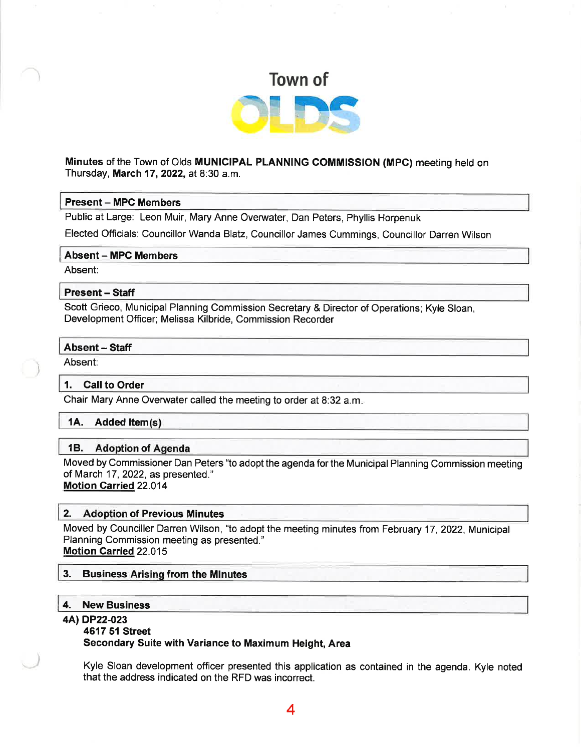

#### Minutes of the Town of Olds MUNICIPAL PLANNING COMMISSION (MPC) meeting held on Thursday, March 17, 2022, at 8:30 a.m.

#### Present - MPC Members

Public at Large: Leon Muir, Mary Anne Overwater, Dan Peters, Phyllis Horpenuk

Elected Officials: Councillor Wanda Blatz, Councillor James Cummings, Councillor Darren Wilson

#### Absent - MPC Members

Absent:

#### Present - Staff

Scott Grieco, Municipal Planning Commission Secretary & Director of Operations; Kyle Sloan, Development Officer; Melissa Kilbride, Commission Recorder

#### Absent - Staff

'. Absent:

#### 1. Call to Order

Chair Mary Anne Overwater called the meeting to order at 8:32 a.m.

#### 1A. Added ltem

#### 1B. Adoption of Agenda

Moved by Commissioner Dan Peters "to adopt the agenda for the Municipal Planning Commission meeting of March 17,2022, as presented." Motion Garried 22.014

### 2. Adoption of Previous Minutes

Moved by Counciller Darren Wilson, "to adopt the meeting minutes from February 17, 2022, Municipal Planning Commission meeting as presented." Motion Carried 22.015

#### 3. Business Arising from the Minutes

#### 4. New Business

#### 4AlDP22-023

#### 4617 51 Street

Secondary Suite with Variance to Maximum Height, Area

Kyle Sloan development officer presented this application as contained in the agenda. Kyle noted that the address indicated on the RFD was incorrect.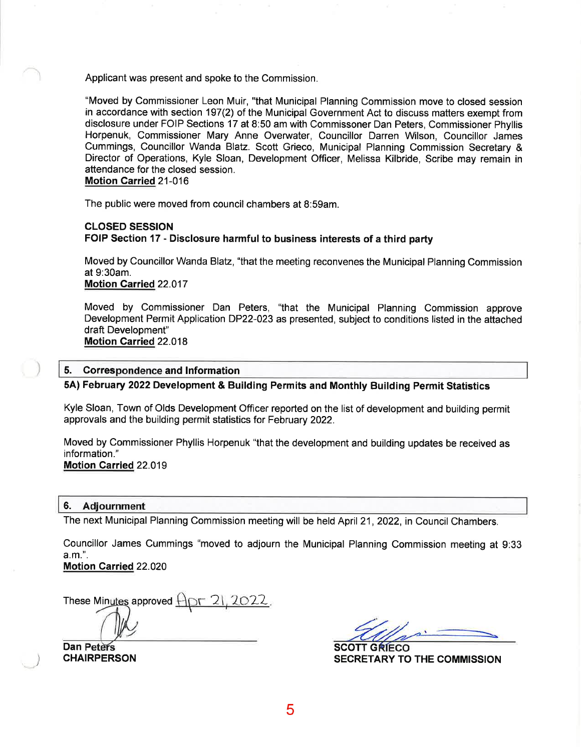Applicant was present and spoke to the Commission.

"Moved by Commissioner Leon Muir, "that Municipal Planning Commission move to closed session in accordance with section 197(2) of the Municipal Government Act to discuss matters exempt from disclosure under FOIP Sections 17 at 8:50 am with Commissoner Dan Peters, Commissioner Phyllis Horpenuk, Commissioner Mary Anne Overwater, Councillor Darren Wilson, Councillor James Cummings, Councillor Wanda Blatz. Scott Grieco, Municipal Planning Commission Secretary & Director of Operations, Kyle Sloan, Development Officer, Melissa Kilbride, Scribe may remain in attendance for the closed session.

Motion Garried 21-016

The public were moved from council chambers at 8:59am.

#### CLOSED SESSION FOIP Section 17 - Disclosure harmful to business interests of a third party

Moved by Councillor Wanda Blatz, "that the meeting reconvenes the Municipal Planning Commission at 9:30am.

Motion Garried 22.017

Moved by Commissioner Dan Peters, "that the Municipal Planning Commission approve Development Permit Application DP22-023 as presented, subject to conditions listed in the attached draft Development" Motion Carried 22.018

#### 5. Correspondence and Information

5A) February 2022 Development & Building Permits and Monthly Building Permit Statistics

Kyle Sloan, Town of Olds Development Officer reported on the list of development and building permit approvals and the building permit statistics for February 2022.

Moved by Commissioner Phyllis Horpenuk "that the development and building updates be received as information." Motion Garried 22.019

#### 6. Adjournment

The next Municipal Planning Commission meeting will be held April 21, 2022, in Council Chambers.

Councillor James Cummings "moved to adjourn the Municipal Planning Commission meeting at 9:33 a.m.".

Motion Carried 22.020

These Minutes approved  $\bigoplus \Gamma$  21, 2022.

Dan Peters SCOTT GRIECO **CHAIRPERSON** 

SECRETARY TO THE COMMISSION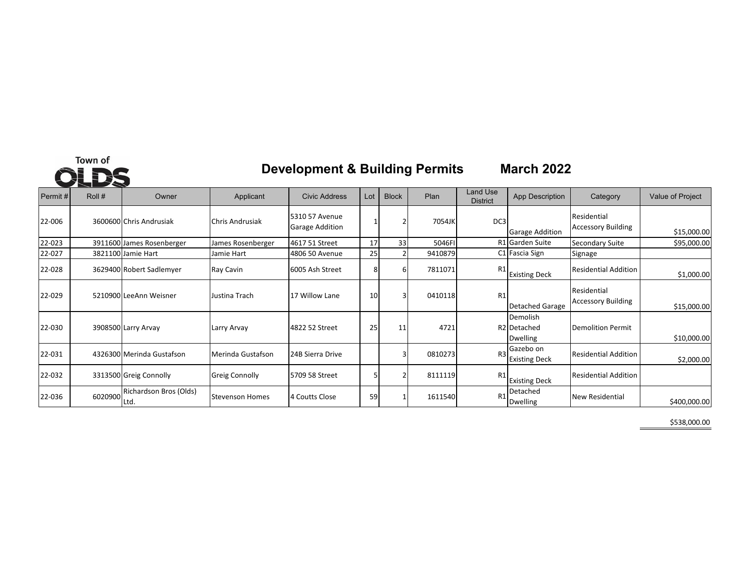# Town of **OLDS**

# **Development & Building Permits March 2022**

| Permit # | $\sim$<br>Roll # | Owner                          | Applicant              | Civic Address                            | Lot | <b>Block</b> | Plan    | <b>Land Use</b><br><b>District</b> | <b>App Description</b>                     | Category                                 | Value of Project |
|----------|------------------|--------------------------------|------------------------|------------------------------------------|-----|--------------|---------|------------------------------------|--------------------------------------------|------------------------------------------|------------------|
| 22-006   |                  | 3600600 Chris Andrusiak        | Chris Andrusiak        | 5310 57 Avenue<br><b>Garage Addition</b> |     |              | 7054JK  | DC3                                | <b>Garage Addition</b>                     | Residential<br><b>Accessory Building</b> | \$15,000.00      |
| 22-023   |                  | 3911600 James Rosenberger      | James Rosenberger      | 4617 51 Street                           | 17  | 33           | 5046FI  |                                    | R1 Garden Suite                            | Secondary Suite                          | \$95,000.00      |
| 22-027   |                  | 3821100 Jamie Hart             | Jamie Hart             | 4806 50 Avenue                           | 25  |              | 9410879 |                                    | C1 Fascia Sign                             | Signage                                  |                  |
| 22-028   |                  | 3629400 Robert Sadlemyer       | Ray Cavin              | 6005 Ash Street                          |     | 6            | 7811071 | R1                                 | <b>Existing Deck</b>                       | <b>Residential Addition</b>              | \$1,000.00       |
| 22-029   |                  | 5210900 LeeAnn Weisner         | Justina Trach          | 17 Willow Lane                           | 10  | 3            | 0410118 | R1                                 | Detached Garage                            | Residential<br><b>Accessory Building</b> | \$15,000.00      |
| 22-030   |                  | 3908500 Larry Arvay            | Larry Arvay            | 4822 52 Street                           | 25  | 11           | 4721    |                                    | Demolish<br>R2 Detached<br><b>Dwelling</b> | Demolition Permit                        | \$10,000.00      |
| 22-031   |                  | 4326300 Merinda Gustafson      | Merinda Gustafson      | 24B Sierra Drive                         |     | 3            | 0810273 | R <sub>3</sub>                     | Gazebo on<br><b>Existing Deck</b>          | <b>Residential Addition</b>              | \$2,000.00       |
| 22-032   |                  | 3313500 Greig Connolly         | <b>Greig Connolly</b>  | 5709 58 Street                           |     |              | 8111119 | R <sub>1</sub>                     | <b>Existing Deck</b>                       | <b>Residential Addition</b>              |                  |
| 22-036   | 6020900          | Richardson Bros (Olds)<br>Ltd. | <b>Stevenson Homes</b> | 4 Coutts Close                           | 59  |              | 1611540 | R <sub>1</sub>                     | Detached<br><b>Dwelling</b>                | <b>New Residential</b>                   | \$400,000.00     |

\$538,000.00